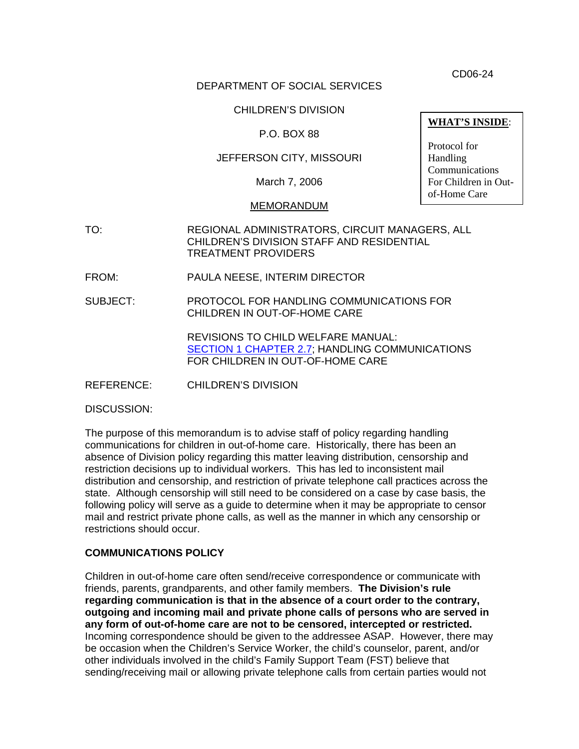CD06-24

# DEPARTMENT OF SOCIAL SERVICES

# CHILDREN'S DIVISION

# P.O. BOX 88

# JEFFERSON CITY, MISSOURI

March 7, 2006

#### MEMORANDUM

- TO: REGIONAL ADMINISTRATORS, CIRCUIT MANAGERS, ALL CHILDREN'S DIVISION STAFF AND RESIDENTIAL TREATMENT PROVIDERS
- FROM: PAULA NEESE, INTERIM DIRECTOR
- SUBJECT: PROTOCOL FOR HANDLING COMMUNICATIONS FOR CHILDREN IN OUT-OF-HOME CARE

REVISIONS TO CHILD WELFARE MANUAL: [SECTION 1 CHAPTER 2.7](http://www.dss.mo.gov/cd/info/cwmanual/section1/ch2/sec1ch2sub7.htm); HANDLING COMMUNICATIONS FOR CHILDREN IN OUT-OF-HOME CARE

REFERENCE: CHILDREN'S DIVISION

DISCUSSION:

The purpose of this memorandum is to advise staff of policy regarding handling communications for children in out-of-home care. Historically, there has been an absence of Division policy regarding this matter leaving distribution, censorship and restriction decisions up to individual workers. This has led to inconsistent mail distribution and censorship, and restriction of private telephone call practices across the state. Although censorship will still need to be considered on a case by case basis, the following policy will serve as a guide to determine when it may be appropriate to censor mail and restrict private phone calls, as well as the manner in which any censorship or restrictions should occur.

#### **COMMUNICATIONS POLICY**

Children in out-of-home care often send/receive correspondence or communicate with friends, parents, grandparents, and other family members. **The Division's rule regarding communication is that in the absence of a court order to the contrary, outgoing and incoming mail and private phone calls of persons who are served in any form of out-of-home care are not to be censored, intercepted or restricted.**  Incoming correspondence should be given to the addressee ASAP. However, there may be occasion when the Children's Service Worker, the child's counselor, parent, and/or other individuals involved in the child's Family Support Team (FST) believe that sending/receiving mail or allowing private telephone calls from certain parties would not

**WHAT'S INSIDE**:

Protocol for Handling Communications For Children in Outof-Home Care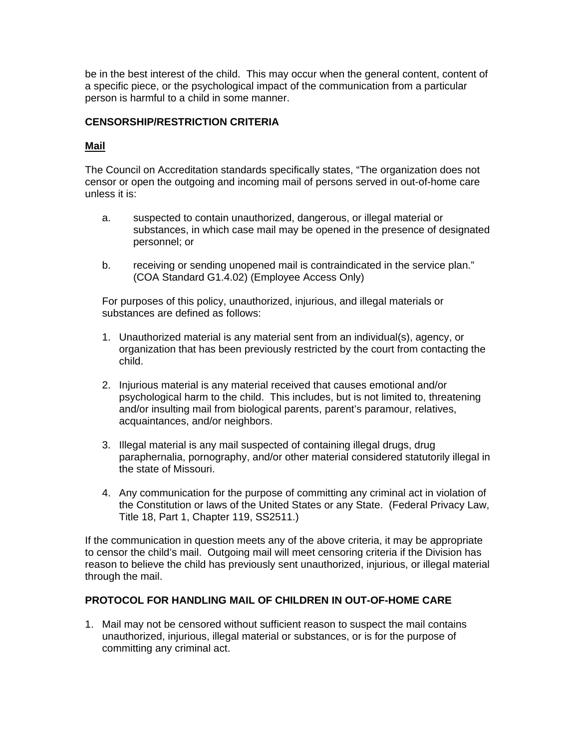be in the best interest of the child. This may occur when the general content, content of a specific piece, or the psychological impact of the communication from a particular person is harmful to a child in some manner.

# **CENSORSHIP/RESTRICTION CRITERIA**

# **Mail**

The Council on Accreditation standards specifically states, "The organization does not censor or open the outgoing and incoming mail of persons served in out-of-home care unless it is:

- a. suspected to contain unauthorized, dangerous, or illegal material or substances, in which case mail may be opened in the presence of designated personnel; or
- b. receiving or sending unopened mail is contraindicated in the service plan." (COA Standard G1.4.02) (Employee Access Only)

For purposes of this policy, unauthorized, injurious, and illegal materials or substances are defined as follows:

- 1. Unauthorized material is any material sent from an individual(s), agency, or organization that has been previously restricted by the court from contacting the child.
- 2. Injurious material is any material received that causes emotional and/or psychological harm to the child. This includes, but is not limited to, threatening and/or insulting mail from biological parents, parent's paramour, relatives, acquaintances, and/or neighbors.
- 3. Illegal material is any mail suspected of containing illegal drugs, drug paraphernalia, pornography, and/or other material considered statutorily illegal in the state of Missouri.
- 4. Any communication for the purpose of committing any criminal act in violation of the Constitution or laws of the United States or any State. (Federal Privacy Law, Title 18, Part 1, Chapter 119, SS2511.)

If the communication in question meets any of the above criteria, it may be appropriate to censor the child's mail. Outgoing mail will meet censoring criteria if the Division has reason to believe the child has previously sent unauthorized, injurious, or illegal material through the mail.

# **PROTOCOL FOR HANDLING MAIL OF CHILDREN IN OUT-OF-HOME CARE**

1. Mail may not be censored without sufficient reason to suspect the mail contains unauthorized, injurious, illegal material or substances, or is for the purpose of committing any criminal act.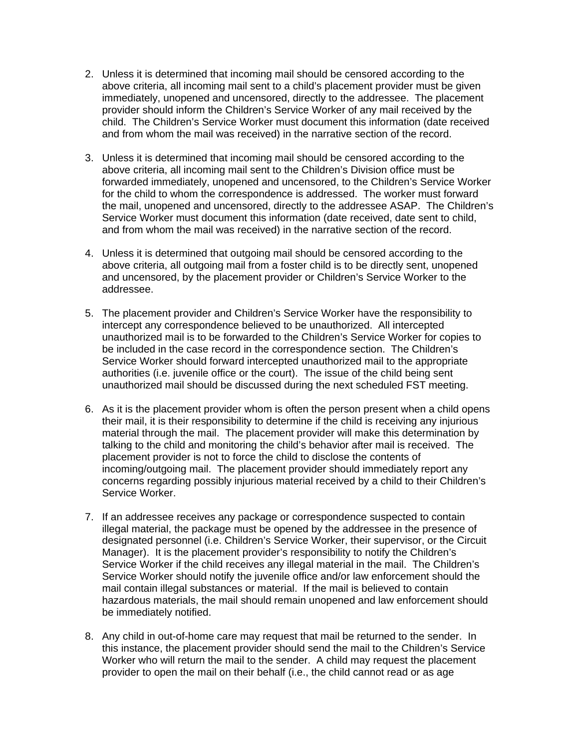- 2. Unless it is determined that incoming mail should be censored according to the above criteria, all incoming mail sent to a child's placement provider must be given immediately, unopened and uncensored, directly to the addressee. The placement provider should inform the Children's Service Worker of any mail received by the child. The Children's Service Worker must document this information (date received and from whom the mail was received) in the narrative section of the record.
- 3. Unless it is determined that incoming mail should be censored according to the above criteria, all incoming mail sent to the Children's Division office must be forwarded immediately, unopened and uncensored, to the Children's Service Worker for the child to whom the correspondence is addressed. The worker must forward the mail, unopened and uncensored, directly to the addressee ASAP. The Children's Service Worker must document this information (date received, date sent to child, and from whom the mail was received) in the narrative section of the record.
- 4. Unless it is determined that outgoing mail should be censored according to the above criteria, all outgoing mail from a foster child is to be directly sent, unopened and uncensored, by the placement provider or Children's Service Worker to the addressee.
- 5. The placement provider and Children's Service Worker have the responsibility to intercept any correspondence believed to be unauthorized. All intercepted unauthorized mail is to be forwarded to the Children's Service Worker for copies to be included in the case record in the correspondence section. The Children's Service Worker should forward intercepted unauthorized mail to the appropriate authorities (i.e. juvenile office or the court). The issue of the child being sent unauthorized mail should be discussed during the next scheduled FST meeting.
- 6. As it is the placement provider whom is often the person present when a child opens their mail, it is their responsibility to determine if the child is receiving any injurious material through the mail. The placement provider will make this determination by talking to the child and monitoring the child's behavior after mail is received. The placement provider is not to force the child to disclose the contents of incoming/outgoing mail. The placement provider should immediately report any concerns regarding possibly injurious material received by a child to their Children's Service Worker.
- 7. If an addressee receives any package or correspondence suspected to contain illegal material, the package must be opened by the addressee in the presence of designated personnel (i.e. Children's Service Worker, their supervisor, or the Circuit Manager). It is the placement provider's responsibility to notify the Children's Service Worker if the child receives any illegal material in the mail. The Children's Service Worker should notify the juvenile office and/or law enforcement should the mail contain illegal substances or material. If the mail is believed to contain hazardous materials, the mail should remain unopened and law enforcement should be immediately notified.
- 8. Any child in out-of-home care may request that mail be returned to the sender. In this instance, the placement provider should send the mail to the Children's Service Worker who will return the mail to the sender. A child may request the placement provider to open the mail on their behalf (i.e., the child cannot read or as age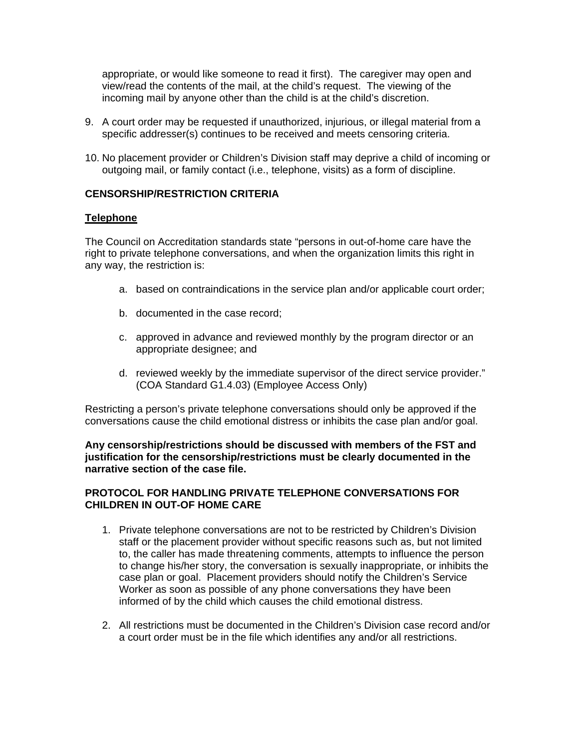appropriate, or would like someone to read it first). The caregiver may open and view/read the contents of the mail, at the child's request. The viewing of the incoming mail by anyone other than the child is at the child's discretion.

- 9. A court order may be requested if unauthorized, injurious, or illegal material from a specific addresser(s) continues to be received and meets censoring criteria.
- 10. No placement provider or Children's Division staff may deprive a child of incoming or outgoing mail, or family contact (i.e., telephone, visits) as a form of discipline.

# **CENSORSHIP/RESTRICTION CRITERIA**

# **Telephone**

The Council on Accreditation standards state "persons in out-of-home care have the right to private telephone conversations, and when the organization limits this right in any way, the restriction is:

- a. based on contraindications in the service plan and/or applicable court order;
- b. documented in the case record;
- c. approved in advance and reviewed monthly by the program director or an appropriate designee; and
- d. reviewed weekly by the immediate supervisor of the direct service provider." (COA Standard G1.4.03) (Employee Access Only)

Restricting a person's private telephone conversations should only be approved if the conversations cause the child emotional distress or inhibits the case plan and/or goal.

**Any censorship/restrictions should be discussed with members of the FST and justification for the censorship/restrictions must be clearly documented in the narrative section of the case file.** 

# **PROTOCOL FOR HANDLING PRIVATE TELEPHONE CONVERSATIONS FOR CHILDREN IN OUT-OF HOME CARE**

- 1. Private telephone conversations are not to be restricted by Children's Division staff or the placement provider without specific reasons such as, but not limited to, the caller has made threatening comments, attempts to influence the person to change his/her story, the conversation is sexually inappropriate, or inhibits the case plan or goal. Placement providers should notify the Children's Service Worker as soon as possible of any phone conversations they have been informed of by the child which causes the child emotional distress.
- 2. All restrictions must be documented in the Children's Division case record and/or a court order must be in the file which identifies any and/or all restrictions.